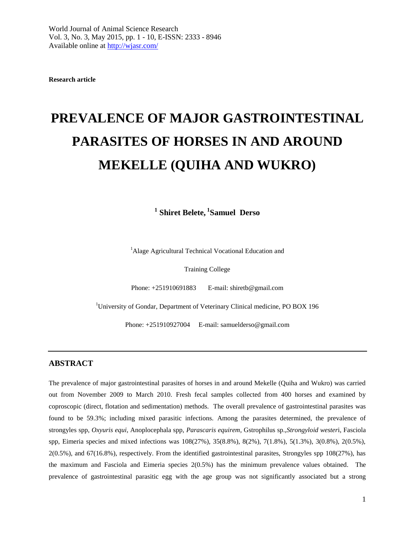**Research article**

# **PREVALENCE OF MAJOR GASTROINTESTINAL PARASITES OF HORSES IN AND AROUND MEKELLE (QUIHA AND WUKRO)**

**1 Shiret Belete, <sup>1</sup> Samuel Derso**

<sup>1</sup>Alage Agricultural Technical Vocational Education and

Training College

Phone: +251910691883 E-mail: shiretb@gmail.com

<sup>1</sup>University of Gondar, Department of Veterinary Clinical medicine, PO BOX 196

Phone: +251910927004 E-mail: [samuelderso@gmail.com](mailto:samuelderso@gmail.com)

# **ABSTRACT**

The prevalence of major gastrointestinal parasites of horses in and around Mekelle (Quiha and Wukro) was carried out from November 2009 to March 2010. Fresh fecal samples collected from 400 horses and examined by coproscopic (direct, flotation and sedimentation) methods. The overall prevalence of gastrointestinal parasites was found to be 59.3%; including mixed parasitic infections. Among the parasites determined, the prevalence of strongyles spp, *Oxyuris equi*, Anoplocephala spp, *Parascaris equirem*, Gstrophilus sp.,*Strongyloid wester*i, Fasciola spp, Eimeria species and mixed infections was 108(27%), 35(8.8%), 8(2%), 7(1.8%), 5(1.3%), 3(0.8%), 2(0.5%), 2(0.5%), and 67(16.8%), respectively. From the identified gastrointestinal parasites, Strongyles spp 108(27%), has the maximum and Fasciola and Eimeria species 2(0.5%) has the minimum prevalence values obtained. The prevalence of gastrointestinal parasitic egg with the age group was not significantly associated but a strong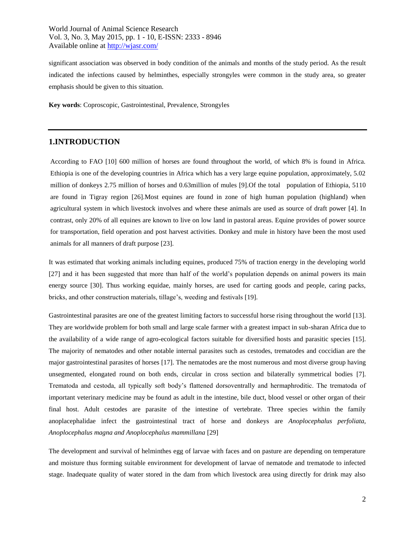significant association was observed in body condition of the animals and months of the study period. As the result indicated the infections caused by helminthes, especially strongyles were common in the study area, so greater emphasis should be given to this situation.

**Key words**: Coproscopic, Gastrointestinal, Prevalence, Strongyles

# **1.INTRODUCTION**

According to FAO [10] 600 million of horses are found throughout the world, of which 8% is found in Africa. Ethiopia is one of the developing countries in Africa which has a very large equine population, approximately, 5.02 million of donkeys 2.75 million of horses and 0.63million of mules [9].Of the total population of Ethiopia, 5110 are found in Tigray region [26].Most equines are found in zone of high human population (highland) when agricultural system in which livestock involves and where these animals are used as source of draft power [4]. In contrast, only 20% of all equines are known to live on low land in pastoral areas. Equine provides of power source for transportation, field operation and post harvest activities. Donkey and mule in history have been the most used animals for all manners of draft purpose [23].

It was estimated that working animals including equines, produced 75% of traction energy in the developing world [27] and it has been suggested that more than half of the world's population depends on animal powers its main energy source [30]. Thus working equidae, mainly horses, are used for carting goods and people, caring packs, bricks, and other construction materials, tillage's, weeding and festivals [19].

Gastrointestinal parasites are one of the greatest limiting factors to successful horse rising throughout the world [13]. They are worldwide problem for both small and large scale farmer with a greatest impact in sub-sharan Africa due to the availability of a wide range of agro-ecological factors suitable for diversified hosts and parasitic species [15]. The majority of nematodes and other notable internal parasites such as cestodes, trematodes and coccidian are the major gastrointestinal parasites of horses [17]. The nematodes are the most numerous and most diverse group having unsegmented, elongated round on both ends, circular in cross section and bilaterally symmetrical bodies [7]. Trematoda and cestoda, all typically soft body's flattened dorsoventrally and hermaphroditic. The trematoda of important veterinary medicine may be found as adult in the intestine, bile duct, blood vessel or other organ of their final host. Adult cestodes are parasite of the intestine of vertebrate. Three species within the family anoplacephalidae infect the gastrointestinal tract of horse and donkeys are *Anoplocephalus perfoliata, Anoplocephalus magna and Anoplocephalus mammillana* [29]

The development and survival of helminthes egg of larvae with faces and on pasture are depending on temperature and moisture thus forming suitable environment for development of larvae of nematode and trematode to infected stage. Inadequate quality of water stored in the dam from which livestock area using directly for drink may also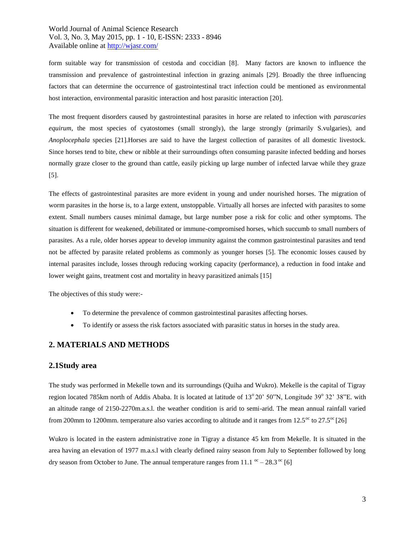form suitable way for transmission of cestoda and coccidian [8]. Many factors are known to influence the transmission and prevalence of gastrointestinal infection in grazing animals [29]. Broadly the three influencing factors that can determine the occurrence of gastrointestinal tract infection could be mentioned as environmental host interaction, environmental parasitic interaction and host parasitic interaction [20].

The most frequent disorders caused by gastrointestinal parasites in horse are related to infection with *parascaries equirum*, the most species of cyatostomes (small strongly), the large strongly (primarily S.vulgaries), and *Anoplocephala* species [21].Horses are said to have the largest collection of parasites of all domestic livestock. Since horses tend to bite, chew or nibble at their surroundings often consuming parasite infected bedding and horses normally graze closer to the ground than cattle, easily picking up large number of infected larvae while they graze [5].

The effects of gastrointestinal parasites are more evident in young and under nourished horses. The migration of worm parasites in the horse is, to a large extent, unstoppable. Virtually all horses are infected with parasites to some extent. Small numbers causes minimal damage, but large number pose a risk for colic and other symptoms. The situation is different for weakened, debilitated or immune-compromised horses, which succumb to small numbers of parasites. As a rule, older horses appear to develop immunity against the common gastrointestinal parasites and tend not be affected by parasite related problems as commonly as younger horses [5]. The economic losses caused by internal parasites include, losses through reducing working capacity (performance), a reduction in food intake and lower weight gains, treatment cost and mortality in heavy parasitized animals [15]

The objectives of this study were:-

- To determine the prevalence of common gastrointestinal parasites affecting horses.
- To identify or assess the risk factors associated with parasitic status in horses in the study area.

# **2. MATERIALS AND METHODS**

#### **2.1Study area**

The study was performed in Mekelle town and its surroundings (Quiha and Wukro). Mekelle is the capital of Tigray region located 785km north of Addis Ababa. It is located at latitude of 13°20' 50"N, Longitude 39° 32' 38"E. with an altitude range of 2150-2270m.a.s.l. the weather condition is arid to semi-arid. The mean annual rainfall varied from 200mm to 1200mm. temperature also varies according to altitude and it ranges from  $12.5^{\circ}$  to  $27.5^{\circ}$  [26]

Wukro is located in the eastern administrative zone in Tigray a distance 45 km from Mekelle. It is situated in the area having an elevation of 1977 m.a.s.l with clearly defined rainy season from July to September followed by long dry season from October to June. The annual temperature ranges from 11.1  $\text{ }^{\circ}$  – 28.3  $\text{ }^{\circ}$  [6]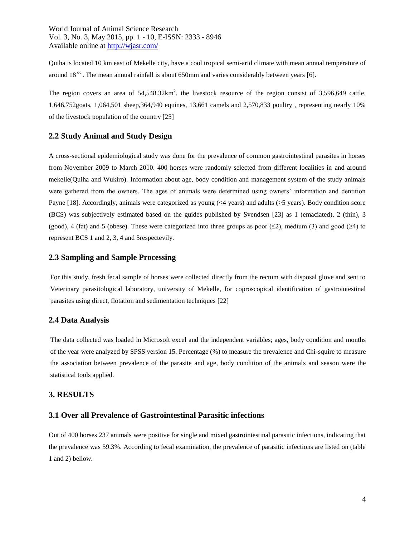Quiha is located 10 km east of Mekelle city, have a cool tropical semi-arid climate with mean annual temperature of around 18 $^{\circ}$ . The mean annual rainfall is about 650mm and varies considerably between years [6].

The region covers an area of  $54,548.32 \text{km}^2$ . the livestock resource of the region consist of 3,596,649 cattle, 1,646,752goats, 1,064,501 sheep,364,940 equines, 13,661 camels and 2,570,833 poultry , representing nearly 10% of the livestock population of the country [25]

# **2.2 Study Animal and Study Design**

A cross-sectional epidemiological study was done for the prevalence of common gastrointestinal parasites in horses from November 2009 to March 2010. 400 horses were randomly selected from different localities in and around mekelle(Quiha and Wukiro). Information about age, body condition and management system of the study animals were gathered from the owners. The ages of animals were determined using owners' information and dentition Payne [18]. Accordingly, animals were categorized as young (<4 years) and adults (>5 years). Body condition score (BCS) was subjectively estimated based on the guides published by Svendsen [23] as 1 (emaciated), 2 (thin), 3 (good), 4 (fat) and 5 (obese). These were categorized into three groups as poor ( $\leq$ 2), medium (3) and good ( $\geq$ 4) to represent BCS 1 and 2, 3, 4 and 5respectevily.

# **2.3 Sampling and Sample Processing**

For this study, fresh fecal sample of horses were collected directly from the rectum with disposal glove and sent to Veterinary parasitological laboratory, university of Mekelle, for coproscopical identification of gastrointestinal parasites using direct, flotation and sedimentation techniques [22]

#### **2.4 Data Analysis**

The data collected was loaded in Microsoft excel and the independent variables; ages, body condition and months of the year were analyzed by SPSS version 15. Percentage (%) to measure the prevalence and Chi-squire to measure the association between prevalence of the parasite and age, body condition of the animals and season were the statistical tools applied.

#### **3. RESULTS**

## **3.1 Over all Prevalence of Gastrointestinal Parasitic infections**

Out of 400 horses 237 animals were positive for single and mixed gastrointestinal parasitic infections, indicating that the prevalence was 59.3%. According to fecal examination, the prevalence of parasitic infections are listed on (table 1 and 2) bellow.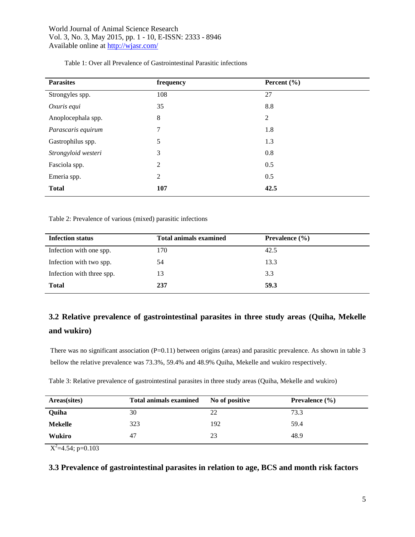| <b>Parasites</b>    | frequency      | Percent $(\% )$ |
|---------------------|----------------|-----------------|
| Strongyles spp.     | 108            | 27              |
| Oxuris equi         | 35             | 8.8             |
| Anoplocephala spp.  | 8              | 2               |
| Parascaris equirum  | $\tau$         | 1.8             |
| Gastrophilus spp.   | 5              | 1.3             |
| Strongyloid westeri | 3              | 0.8             |
| Fasciola spp.       | 2              | 0.5             |
| Emeria spp.         | $\overline{2}$ | 0.5             |
| <b>Total</b>        | 107            | 42.5            |

Table 1: Over all Prevalence of Gastrointestinal Parasitic infections

Table 2: Prevalence of various (mixed) parasitic infections

| <b>Infection status</b>   | <b>Total animals examined</b> | Prevalence $(\% )$ |
|---------------------------|-------------------------------|--------------------|
| Infection with one spp.   | 170                           | 42.5               |
| Infection with two spp.   | 54                            | 13.3               |
| Infection with three spp. | 13                            | 3.3                |
| <b>Total</b>              | 237                           | 59.3               |

# **3.2 Relative prevalence of gastrointestinal parasites in three study areas (Quiha, Mekelle and wukiro)**

There was no significant association  $(P=0.11)$  between origins (areas) and parasitic prevalence. As shown in table 3 bellow the relative prevalence was 73.3%, 59.4% and 48.9% Quiha, Mekelle and wukiro respectively.

Table 3: Relative prevalence of gastrointestinal parasites in three study areas (Quiha, Mekelle and wukiro)

| Areas(sites) | <b>Total animals examined</b> | No of positive | <b>Prevalence</b> $(\% )$ |
|--------------|-------------------------------|----------------|---------------------------|
| Quiha        | 30                            | 22             | 73.3                      |
| Mekelle      | 323                           | 192            | 59.4                      |
| Wukiro       | 47                            | 23             | 48.9                      |

 $X^2$ =4.54; p=0.103

**3.3 Prevalence of gastrointestinal parasites in relation to age, BCS and month risk factors**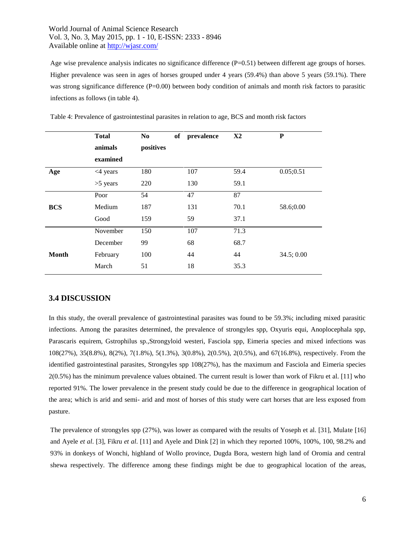Age wise prevalence analysis indicates no significance difference (P=0.51) between different age groups of horses. Higher prevalence was seen in ages of horses grouped under 4 years (59.4%) than above 5 years (59.1%). There was strong significance difference  $(P=0.00)$  between body condition of animals and month risk factors to parasitic infections as follows (in table 4).

|              | <b>Total</b> | of<br>N <sub>0</sub> | prevalence | X <sub>2</sub> | P         |
|--------------|--------------|----------------------|------------|----------------|-----------|
|              | animals      | positives            |            |                |           |
|              | examined     |                      |            |                |           |
| Age          | $<$ 4 years  | 180                  | 107        | 59.4           | 0.05;0.51 |
|              | $>5$ years   | 220                  | 130        | 59.1           |           |
|              | Poor         | 54                   | 47         | 87             |           |
| <b>BCS</b>   | Medium       | 187                  | 131        | 70.1           | 58.6;0.00 |
|              | Good         | 159                  | 59         | 37.1           |           |
|              | November     | 150                  | 107        | 71.3           |           |
|              | December     | 99                   | 68         | 68.7           |           |
| <b>Month</b> | February     | 100                  | 44         | 44             | 34.5;0.00 |
|              | March        | 51                   | 18         | 35.3           |           |

Table 4: Prevalence of gastrointestinal parasites in relation to age, BCS and month risk factors

# **3.4 DISCUSSION**

In this study, the overall prevalence of gastrointestinal parasites was found to be 59.3%; including mixed parasitic infections. Among the parasites determined, the prevalence of strongyles spp, Oxyuris equi, Anoplocephala spp, Parascaris equirem, Gstrophilus sp.,Strongyloid westeri, Fasciola spp, Eimeria species and mixed infections was 108(27%), 35(8.8%), 8(2%), 7(1.8%), 5(1.3%), 3(0.8%), 2(0.5%), 2(0.5%), and 67(16.8%), respectively. From the identified gastrointestinal parasites, Strongyles spp 108(27%), has the maximum and Fasciola and Eimeria species 2(0.5%) has the minimum prevalence values obtained. The current result is lower than work of Fikru et al. [11] who reported 91%. The lower prevalence in the present study could be due to the difference in geographical location of the area; which is arid and semi- arid and most of horses of this study were cart horses that are less exposed from pasture.

The prevalence of strongyles spp (27%), was lower as compared with the results of Yoseph et al. [31], Mulate [16] and Ayele *et al*. [3], Fikru *et al*. [11] and Ayele and Dink [2] in which they reported 100%, 100%, 100, 98.2% and 93% in donkeys of Wonchi, highland of Wollo province, Dugda Bora, western high land of Oromia and central shewa respectively. The difference among these findings might be due to geographical location of the areas,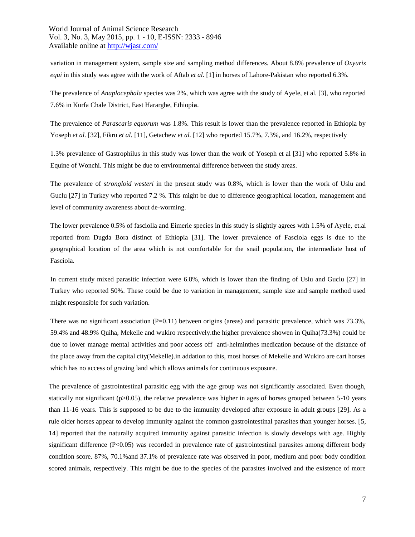variation in management system, sample size and sampling method differences. About 8.8% prevalence of *Oxyuris equi* in this study was agree with the work of Aftab *et al.* [1] in horses of Lahore-Pakistan who reported 6.3%.

The prevalence of *Anaplocephala* species was 2%, which was agree with the study of Ayele, et al. [3], who reported 7.6% in Kurfa Chale District, East Hararghe, Ethiop**ia**.

The prevalence of *Parascaris equorum* was 1.8%. This result is lower than the prevalence reported in Ethiopia by Yoseph *et al.* [32], Fikru *et al.* [11], Getachew *et al.* [12] who reported 15.7%, 7.3%, and 16.2%, respectively

1.3% prevalence of Gastrophilus in this study was lower than the work of Yoseph et al [31] who reported 5.8% in Equine of Wonchi. This might be due to environmental difference between the study areas.

The prevalence of *strongloid westeri* in the present study was 0.8%, which is lower than the work of Uslu and Guclu [27] in Turkey who reported 7.2 %. This might be due to difference geographical location, management and level of community awareness about de-worming.

The lower prevalence 0.5% of fasciolla and Eimerie species in this study is slightly agrees with 1.5% of Ayele, et.al reported from Dugda Bora distinct of Ethiopia [31]. The lower prevalence of Fasciola eggs is due to the geographical location of the area which is not comfortable for the snail population, the intermediate host of Fasciola.

In current study mixed parasitic infection were 6.8%, which is lower than the finding of Uslu and Guclu [27] in Turkey who reported 50%. These could be due to variation in management, sample size and sample method used might responsible for such variation.

There was no significant association  $(P=0.11)$  between origins (areas) and parasitic prevalence, which was 73.3%, 59.4% and 48.9% Quiha, Mekelle and wukiro respectively.the higher prevalence showen in Quiha(73.3%) could be due to lower manage mental activities and poor access off anti-helminthes medication because of the distance of the place away from the capital city(Mekelle).in addation to this, most horses of Mekelle and Wukiro are cart horses which has no access of grazing land which allows animals for continuous exposure.

The prevalence of gastrointestinal parasitic egg with the age group was not significantly associated. Even though, statically not significant (p>0.05), the relative prevalence was higher in ages of horses grouped between 5-10 years than 11-16 years. This is supposed to be due to the immunity developed after exposure in adult groups [29]. As a rule older horses appear to develop immunity against the common gastrointestinal parasites than younger horses. [5, 14] reported that the naturally acquired immunity against parasitic infection is slowly develops with age. Highly significant difference (P<0.05) was recorded in prevalence rate of gastrointestinal parasites among different body condition score. 87%, 70.1%and 37.1% of prevalence rate was observed in poor, medium and poor body condition scored animals, respectively. This might be due to the species of the parasites involved and the existence of more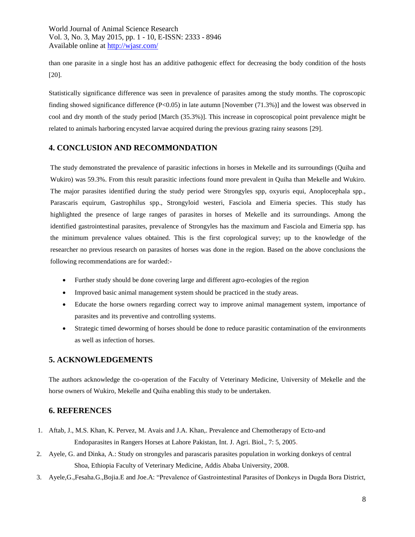than one parasite in a single host has an additive pathogenic effect for decreasing the body condition of the hosts [20].

Statistically significance difference was seen in prevalence of parasites among the study months. The coproscopic finding showed significance difference (P<0.05) in late autumn [November (71.3%)] and the lowest was observed in cool and dry month of the study period [March (35.3%)]. This increase in coproscopical point prevalence might be related to animals harboring encysted larvae acquired during the previous grazing rainy seasons [29].

# **4. CONCLUSION AND RECOMMONDATION**

The study demonstrated the prevalence of parasitic infections in horses in Mekelle and its surroundings (Quiha and Wukiro) was 59.3%. From this result parasitic infections found more prevalent in Quiha than Mekelle and Wukiro. The major parasites identified during the study period were Strongyles spp, oxyuris equi, Anoplocephala spp., Parascaris equirum, Gastrophilus spp., Strongyloid westeri, Fasciola and Eimeria species. This study has highlighted the presence of large ranges of parasites in horses of Mekelle and its surroundings. Among the identified gastrointestinal parasites, prevalence of Strongyles has the maximum and Fasciola and Eimeria spp. has the minimum prevalence values obtained. This is the first coprological survey; up to the knowledge of the researcher no previous research on parasites of horses was done in the region. Based on the above conclusions the following recommendations are for warded:-

- Further study should be done covering large and different agro-ecologies of the region
- Improved basic animal management system should be practiced in the study areas.
- Educate the horse owners regarding correct way to improve animal management system, importance of parasites and its preventive and controlling systems.
- Strategic timed deworming of horses should be done to reduce parasitic contamination of the environments as well as infection of horses.

# **5. ACKNOWLEDGEMENTS**

The authors acknowledge the co-operation of the Faculty of Veterinary Medicine, University of Mekelle and the horse owners of Wukiro, Mekelle and Quiha enabling this study to be undertaken.

# **6. REFERENCES**

- 1. Aftab, J., M.S. Khan, K. Pervez, M. Avais and J.A. Khan,. Prevalence and Chemotherapy of Ecto-and Endoparasites in Rangers Horses at Lahore Pakistan, Int. J. Agri. Biol., 7: 5, 2005.
- 2. Ayele, G. and Dinka, A.: Study on strongyles and parascaris parasites population in working donkeys of central Shoa, Ethiopia Faculty of Veterinary Medicine, Addis Ababa University, 2008.
- 3. Ayele,G.,Fesaha.G.,Bojia.E and Joe.A: "Prevalence of Gastrointestinal Parasites of Donkeys in Dugda Bora District,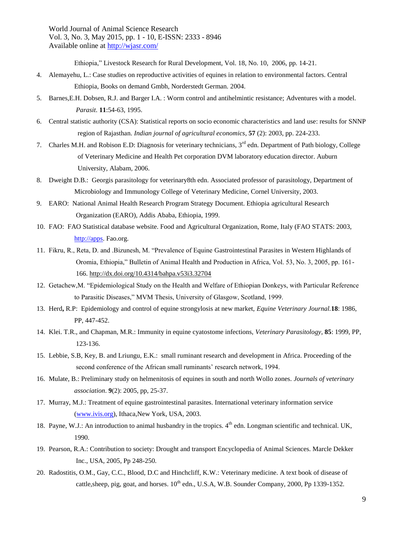Ethiopia," Livestock Research for Rural Development, Vol. 18, No. 10, 2006, pp. 14-21.

- 4. Alemayehu, L.: Case studies on reproductive activities of equines in relation to environmental factors. Central Ethiopia, Books on demand Gmbh, Norderstedt German. 2004.
- 5. Barnes,E.H. Dobsen, R.J. and Barger I.A. : Worm control and antihelmintic resistance; Adventures with a model.  *Parasit*. **11**:54-63, 1995.
- 6. Central statistic authority (CSA): Statistical reports on socio economic characteristics and land use: results for SNNP region of Rajasthan. *Indian journal of agricultural economics*, **57** (2): 2003, pp. 224-233.
- 7. Charles M.H. and Robison E.D: Diagnosis for veterinary technicians, 3<sup>rd</sup> edn. Department of Path biology, College of Veterinary Medicine and Health Pet corporation DVM laboratory education director. Auburn University, Alabam, 2006.
- 8. Dweight D.B.: Georgis parasitology for veterinary8th edn. Associated professor of parasitology, Department of Microbiology and Immunology College of Veterinary Medicine, Cornel University, 2003.
- 9. EARO: National Animal Health Research Program Strategy Document. Ethiopia agricultural Research Organization (EARO), Addis Ababa, Ethiopia, 1999.
- 10. FAO: FAO Statistical database website. Food and Agricultural Organization, Rome, Italy (FAO STATS: 2003, [http://apps.](http://apps/) Fao.org.
- 11. Fikru, R., Reta, D. and .Bizunesh, M. "Prevalence of Equine Gastrointestinal Parasites in Western Highlands of Oromia, Ethiopia," Bulletin of Animal Health and Production in Africa, Vol. 53, No. 3, 2005, pp. 161- 166. <http://dx.doi.org/10.4314/bahpa.v53i3.32704>
- 12. Getachew,M. "Epidemiological Study on the Health and Welfare of Ethiopian Donkeys, with Particular Reference to Parasitic Diseases," MVM Thesis, University of Glasgow, Scotland, 1999.
- 13. Herd**,** R.P: Epidemiology and control of equine strongylosis at new market, *Equine Veterinary Journal.***18**: 1986, PP, 447-452.
- 14. Klei. T.R., and Chapman, M.R.: Immunity in equine cyatostome infections, *Veterinary Parasitology*, **85**: 1999, PP, 123-136.
- 15. Lebbie, S.B, Key, B. and Lriungu, E.K.: small ruminant research and development in Africa. Proceeding of the second conference of the African small ruminants' research network, 1994.
- 16. Mulate, B.: Preliminary study on helmenitosis of equines in south and north Wollo zones. *Journals of veterinary association*. **9**(2): 2005, pp, 25-37.
- 17. Murray, M.J.: Treatment of equine gastrointestinal parasites. International veterinary information service [\(www.ivis.org\)](http://www.ivis.org/), Ithaca,New York, USA, 2003.
- 18. Payne, W.J.: An introduction to animal husbandry in the tropics. 4<sup>th</sup> edn. Longman scientific and technical. UK, 1990.
- 19. Pearson, R.A.: Contribution to society: Drought and transport Encyclopedia of Animal Sciences. Marcle Dekker Inc., USA, 2005, Pp 248-250.
- 20. Radostitis, O.M., Gay, C.C., Blood, D.C and Hinchcliff, K.W.: Veterinary medicine. A text book of disease of cattle, sheep, pig, goat, and horses.  $10^{th}$  edn., U.S.A, W.B. Sounder Company, 2000, Pp 1339-1352.